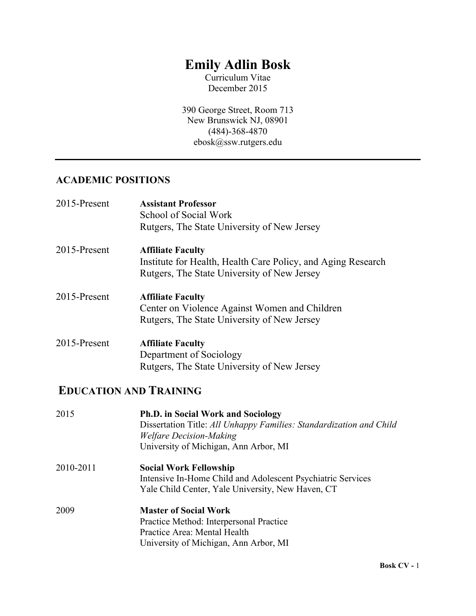# **Emily Adlin Bosk**

Curriculum Vitae December 2015

390 George Street, Room 713 New Brunswick NJ, 08901 (484)-368-4870 ebosk@ssw.rutgers.edu

## **ACADEMIC POSITIONS**

| 2015-Present | <b>Assistant Professor</b><br>School of Social Work<br>Rutgers, The State University of New Jersey                                      |
|--------------|-----------------------------------------------------------------------------------------------------------------------------------------|
| 2015-Present | <b>Affiliate Faculty</b><br>Institute for Health, Health Care Policy, and Aging Research<br>Rutgers, The State University of New Jersey |
| 2015-Present | <b>Affiliate Faculty</b><br>Center on Violence Against Women and Children<br>Rutgers, The State University of New Jersey                |
| 2015-Present | <b>Affiliate Faculty</b><br>Department of Sociology<br>Rutgers, The State University of New Jersey                                      |

## **EDUCATION AND TRAINING**

| 2015      | <b>Ph.D. in Social Work and Sociology</b><br>Dissertation Title: All Unhappy Families: Standardization and Child<br><b>Welfare Decision-Making</b><br>University of Michigan, Ann Arbor, MI |
|-----------|---------------------------------------------------------------------------------------------------------------------------------------------------------------------------------------------|
| 2010-2011 | <b>Social Work Fellowship</b><br>Intensive In-Home Child and Adolescent Psychiatric Services<br>Yale Child Center, Yale University, New Haven, CT                                           |
| 2009      | <b>Master of Social Work</b><br>Practice Method: Interpersonal Practice<br>Practice Area: Mental Health<br>University of Michigan, Ann Arbor, MI                                            |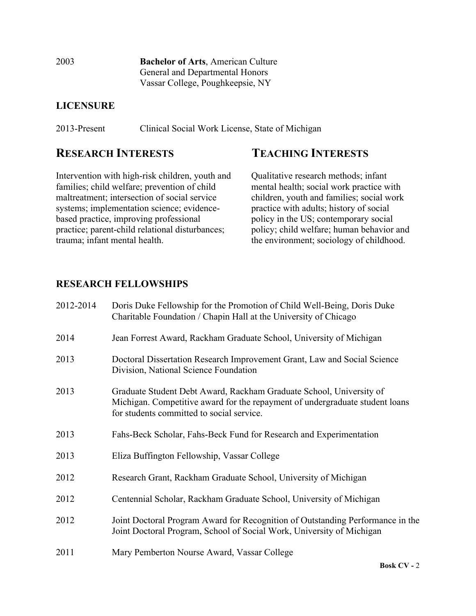2003 **Bachelor of Arts**, American Culture General and Departmental Honors Vassar College, Poughkeepsie, NY

## **LICENSURE**

2013-Present Clinical Social Work License, State of Michigan

Intervention with high-risk children, youth and families; child welfare; prevention of child maltreatment; intersection of social service systems; implementation science; evidencebased practice, improving professional practice; parent-child relational disturbances; trauma; infant mental health.

## **RESEARCH INTERESTS TEACHING INTERESTS**

 Qualitative research methods; infant mental health; social work practice with children, youth and families; social work practice with adults; history of social policy in the US; contemporary social policy; child welfare; human behavior and the environment; sociology of childhood.

## **RESEARCH FELLOWSHIPS**

| 2012-2014 | Doris Duke Fellowship for the Promotion of Child Well-Being, Doris Duke<br>Charitable Foundation / Chapin Hall at the University of Chicago                                                      |
|-----------|--------------------------------------------------------------------------------------------------------------------------------------------------------------------------------------------------|
| 2014      | Jean Forrest Award, Rackham Graduate School, University of Michigan                                                                                                                              |
| 2013      | Doctoral Dissertation Research Improvement Grant, Law and Social Science<br>Division, National Science Foundation                                                                                |
| 2013      | Graduate Student Debt Award, Rackham Graduate School, University of<br>Michigan. Competitive award for the repayment of undergraduate student loans<br>for students committed to social service. |
| 2013      | Fahs-Beck Scholar, Fahs-Beck Fund for Research and Experimentation                                                                                                                               |
| 2013      | Eliza Buffington Fellowship, Vassar College                                                                                                                                                      |
| 2012      | Research Grant, Rackham Graduate School, University of Michigan                                                                                                                                  |
| 2012      | Centennial Scholar, Rackham Graduate School, University of Michigan                                                                                                                              |
| 2012      | Joint Doctoral Program Award for Recognition of Outstanding Performance in the<br>Joint Doctoral Program, School of Social Work, University of Michigan                                          |
| 2011      | Mary Pemberton Nourse Award, Vassar College                                                                                                                                                      |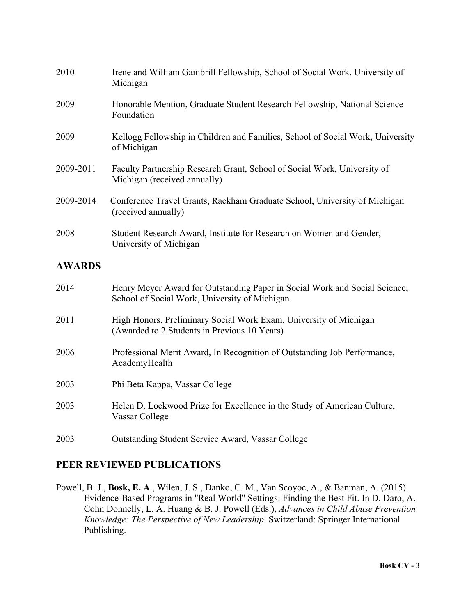| 2010          | Irene and William Gambrill Fellowship, School of Social Work, University of<br>Michigan                                     |
|---------------|-----------------------------------------------------------------------------------------------------------------------------|
| 2009          | Honorable Mention, Graduate Student Research Fellowship, National Science<br>Foundation                                     |
| 2009          | Kellogg Fellowship in Children and Families, School of Social Work, University<br>of Michigan                               |
| 2009-2011     | Faculty Partnership Research Grant, School of Social Work, University of<br>Michigan (received annually)                    |
| 2009-2014     | Conference Travel Grants, Rackham Graduate School, University of Michigan<br>(received annually)                            |
| 2008          | Student Research Award, Institute for Research on Women and Gender,<br>University of Michigan                               |
| <b>AWARDS</b> |                                                                                                                             |
| 2014          | Henry Meyer Award for Outstanding Paper in Social Work and Social Science,<br>School of Social Work, University of Michigan |
| 2011          | High Honors, Preliminary Social Work Exam, University of Michigan<br>(Awarded to 2 Students in Previous 10 Years)           |
| 2006          | Professional Merit Award, In Recognition of Outstanding Job Performance,<br>AcademyHealth                                   |
| 2003          | Phi Beta Kappa, Vassar College                                                                                              |

- 2003 Helen D. Lockwood Prize for Excellence in the Study of American Culture, Vassar College
- 2003 Outstanding Student Service Award, Vassar College

## **PEER REVIEWED PUBLICATIONS**

Powell, B. J., **Bosk, E. A**., Wilen, J. S., Danko, C. M., Van Scoyoc, A., & Banman, A. (2015). Evidence-Based Programs in "Real World" Settings: Finding the Best Fit. In D. Daro, A. Cohn Donnelly, L. A. Huang & B. J. Powell (Eds.), *Advances in Child Abuse Prevention Knowledge: The Perspective of New Leadership*. Switzerland: Springer International Publishing.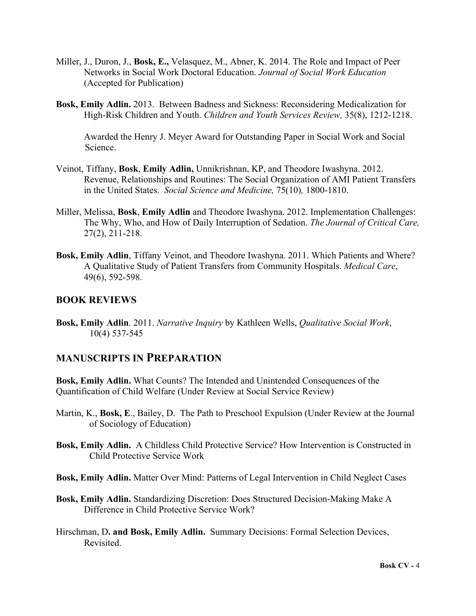- Miller, J., Duron, J., **Bosk, E.,** Velasquez, M., Abner, K. 2014. The Role and Impact of Peer Networks in Social Work Doctoral Education. *Journal of Social Work Education* (Accepted for Publication)
- **Bosk, Emily Adlin.** 2013. Between Badness and Sickness: Reconsidering Medicalization for High-Risk Children and Youth. *Children and Youth Services Review,* 35(8), 1212-1218.

Awarded the Henry J. Meyer Award for Outstanding Paper in Social Work and Social Science.

- Veinot, Tiffany, **Bosk**, **Emily Adlin,** Unnikrishnan, KP, and Theodore Iwashyna. 2012. Revenue, Relationships and Routines: The Social Organization of AMI Patient Transfers in the United States. *Social Science and Medicine,* 75(10)*,* 1800-1810.
- Miller, Melissa, **Bosk**, **Emily Adlin** and Theodore Iwashyna. 2012. Implementation Challenges: The Why, Who, and How of Daily Interruption of Sedation. *The Journal of Critical Care,*  27(2), 211-218.
- **Bosk, Emily Adlin**, Tiffany Veinot, and Theodore Iwashyna. 2011. Which Patients and Where? A Qualitative Study of Patient Transfers from Community Hospitals. *Medical Care*, 49(6), 592-598.

#### **BOOK REVIEWS**

**Bosk, Emily Adlin**. 2011. *Narrative Inquiry* by Kathleen Wells, *Qualitative Social Work*, 10(4) 537-545

### **MANUSCRIPTS IN PREPARATION**

**Bosk, Emily Adlin.** What Counts? The Intended and Unintended Consequences of the Quantification of Child Welfare (Under Review at Social Service Review)

- Martin, K., Bosk, E., Bailey, D. The Path to Preschool Expulsion (Under Review at the Journal of Sociology of Education)
- **Bosk, Emily Adlin.** A Childless Child Protective Service? How Intervention is Constructed in Child Protective Service Work
- **Bosk, Emily Adlin.** Matter Over Mind: Patterns of Legal Intervention in Child Neglect Cases
- **Bosk, Emily Adlin.** Standardizing Discretion: Does Structured Decision-Making Make A Difference in Child Protective Service Work?
- Hirschman, D**. and Bosk, Emily Adlin.** Summary Decisions: Formal Selection Devices, Revisited.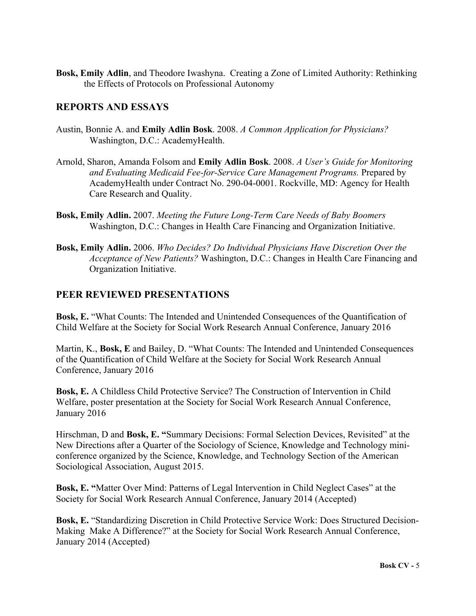**Bosk, Emily Adlin**, and Theodore Iwashyna. Creating a Zone of Limited Authority: Rethinking the Effects of Protocols on Professional Autonomy

#### **REPORTS AND ESSAYS**

- Austin, Bonnie A. and **Emily Adlin Bosk**. 2008. *A Common Application for Physicians?* Washington, D.C.: AcademyHealth.
- Arnold, Sharon, Amanda Folsom and **Emily Adlin Bosk**. 2008. *A User's Guide for Monitoring and Evaluating Medicaid Fee-for-Service Care Management Programs.* Prepared by AcademyHealth under Contract No. 290-04-0001. Rockville, MD: Agency for Health Care Research and Quality.
- **Bosk, Emily Adlin.** 2007. *Meeting the Future Long-Term Care Needs of Baby Boomers* Washington, D.C.: Changes in Health Care Financing and Organization Initiative.
- **Bosk, Emily Adlin.** 2006. *Who Decides? Do Individual Physicians Have Discretion Over the Acceptance of New Patients?* Washington, D.C.: Changes in Health Care Financing and Organization Initiative.

#### **PEER REVIEWED PRESENTATIONS**

**Bosk, E.** "What Counts: The Intended and Unintended Consequences of the Quantification of Child Welfare at the Society for Social Work Research Annual Conference, January 2016

Martin, K., **Bosk, E** and Bailey, D. "What Counts: The Intended and Unintended Consequences of the Quantification of Child Welfare at the Society for Social Work Research Annual Conference, January 2016

**Bosk, E.** A Childless Child Protective Service? The Construction of Intervention in Child Welfare, poster presentation at the Society for Social Work Research Annual Conference, January 2016

Hirschman, D and **Bosk, E. "**Summary Decisions: Formal Selection Devices, Revisited" at the New Directions after a Quarter of the Sociology of Science, Knowledge and Technology miniconference organized by the Science, Knowledge, and Technology Section of the American Sociological Association, August 2015.

**Bosk, E. "**Matter Over Mind: Patterns of Legal Intervention in Child Neglect Cases" at the Society for Social Work Research Annual Conference, January 2014 (Accepted)

**Bosk, E.** "Standardizing Discretion in Child Protective Service Work: Does Structured Decision-Making Make A Difference?" at the Society for Social Work Research Annual Conference, January 2014 (Accepted)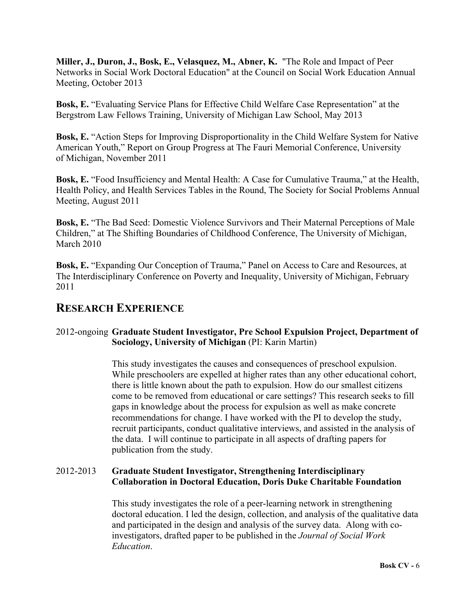**Miller, J., Duron, J., Bosk, E., Velasquez, M., Abner, K.** "The Role and Impact of Peer Networks in Social Work Doctoral Education" at the Council on Social Work Education Annual Meeting, October 2013

**Bosk, E.** "Evaluating Service Plans for Effective Child Welfare Case Representation" at the Bergstrom Law Fellows Training, University of Michigan Law School, May 2013

**Bosk, E.** "Action Steps for Improving Disproportionality in the Child Welfare System for Native American Youth," Report on Group Progress at The Fauri Memorial Conference, University of Michigan, November 2011

**Bosk, E.** "Food Insufficiency and Mental Health: A Case for Cumulative Trauma," at the Health, Health Policy, and Health Services Tables in the Round, The Society for Social Problems Annual Meeting, August 2011

**Bosk, E.** "The Bad Seed: Domestic Violence Survivors and Their Maternal Perceptions of Male Children," at The Shifting Boundaries of Childhood Conference, The University of Michigan, March 2010

**Bosk, E.** "Expanding Our Conception of Trauma," Panel on Access to Care and Resources, at The Interdisciplinary Conference on Poverty and Inequality, University of Michigan, February 2011

## **RESEARCH EXPERIENCE**

### 2012-ongoing **Graduate Student Investigator, Pre School Expulsion Project, Department of Sociology, University of Michigan** (PI: Karin Martin)

This study investigates the causes and consequences of preschool expulsion. While preschoolers are expelled at higher rates than any other educational cohort, there is little known about the path to expulsion. How do our smallest citizens come to be removed from educational or care settings? This research seeks to fill gaps in knowledge about the process for expulsion as well as make concrete recommendations for change. I have worked with the PI to develop the study, recruit participants, conduct qualitative interviews, and assisted in the analysis of the data. I will continue to participate in all aspects of drafting papers for publication from the study.

### 2012-2013 **Graduate Student Investigator, Strengthening Interdisciplinary Collaboration in Doctoral Education, Doris Duke Charitable Foundation**

This study investigates the role of a peer-learning network in strengthening doctoral education. I led the design, collection, and analysis of the qualitative data and participated in the design and analysis of the survey data. Along with coinvestigators, drafted paper to be published in the *Journal of Social Work Education*.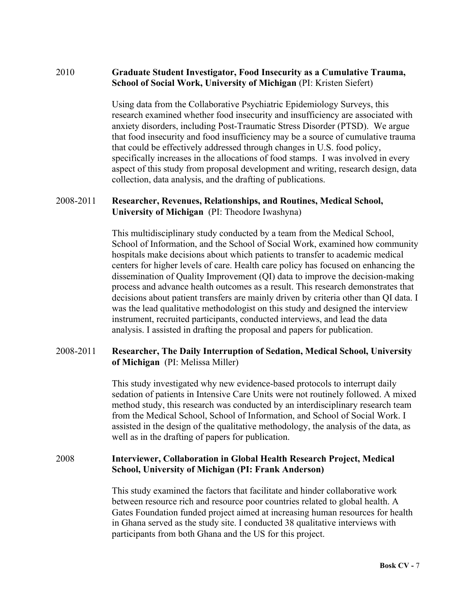#### 2010 **Graduate Student Investigator, Food Insecurity as a Cumulative Trauma, School of Social Work, University of Michigan** (PI: Kristen Siefert)

Using data from the Collaborative Psychiatric Epidemiology Surveys, this research examined whether food insecurity and insufficiency are associated with anxiety disorders, including Post-Traumatic Stress Disorder (PTSD). We argue that food insecurity and food insufficiency may be a source of cumulative trauma that could be effectively addressed through changes in U.S. food policy, specifically increases in the allocations of food stamps. I was involved in every aspect of this study from proposal development and writing, research design, data collection, data analysis, and the drafting of publications.

#### 2008-2011 **Researcher, Revenues, Relationships, and Routines, Medical School, University of Michigan** (PI: Theodore Iwashyna)

This multidisciplinary study conducted by a team from the Medical School, School of Information, and the School of Social Work, examined how community hospitals make decisions about which patients to transfer to academic medical centers for higher levels of care. Health care policy has focused on enhancing the dissemination of Quality Improvement (QI) data to improve the decision-making process and advance health outcomes as a result. This research demonstrates that decisions about patient transfers are mainly driven by criteria other than QI data. I was the lead qualitative methodologist on this study and designed the interview instrument, recruited participants, conducted interviews, and lead the data analysis. I assisted in drafting the proposal and papers for publication.

### 2008-2011 **Researcher, The Daily Interruption of Sedation, Medical School, University of Michigan** (PI: Melissa Miller)

This study investigated why new evidence-based protocols to interrupt daily sedation of patients in Intensive Care Units were not routinely followed. A mixed method study, this research was conducted by an interdisciplinary research team from the Medical School, School of Information, and School of Social Work. I assisted in the design of the qualitative methodology, the analysis of the data, as well as in the drafting of papers for publication.

#### 2008 **Interviewer, Collaboration in Global Health Research Project, Medical School, University of Michigan (PI: Frank Anderson)**

This study examined the factors that facilitate and hinder collaborative work between resource rich and resource poor countries related to global health. A Gates Foundation funded project aimed at increasing human resources for health in Ghana served as the study site. I conducted 38 qualitative interviews with participants from both Ghana and the US for this project.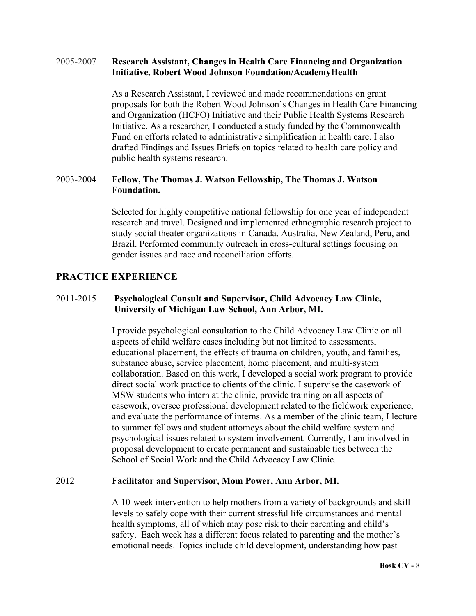#### 2005-2007 **Research Assistant, Changes in Health Care Financing and Organization Initiative, Robert Wood Johnson Foundation/AcademyHealth**

As a Research Assistant, I reviewed and made recommendations on grant proposals for both the Robert Wood Johnson's Changes in Health Care Financing and Organization (HCFO) Initiative and their Public Health Systems Research Initiative. As a researcher, I conducted a study funded by the Commonwealth Fund on efforts related to administrative simplification in health care. I also drafted Findings and Issues Briefs on topics related to health care policy and public health systems research.

#### 2003-2004 **Fellow, The Thomas J. Watson Fellowship, The Thomas J. Watson Foundation.**

Selected for highly competitive national fellowship for one year of independent research and travel. Designed and implemented ethnographic research project to study social theater organizations in Canada, Australia, New Zealand, Peru, and Brazil. Performed community outreach in cross-cultural settings focusing on gender issues and race and reconciliation efforts.

### **PRACTICE EXPERIENCE**

#### 2011-2015 **Psychological Consult and Supervisor, Child Advocacy Law Clinic, University of Michigan Law School, Ann Arbor, MI.**

I provide psychological consultation to the Child Advocacy Law Clinic on all aspects of child welfare cases including but not limited to assessments, educational placement, the effects of trauma on children, youth, and families, substance abuse, service placement, home placement, and multi-system collaboration. Based on this work, I developed a social work program to provide direct social work practice to clients of the clinic. I supervise the casework of MSW students who intern at the clinic, provide training on all aspects of casework, oversee professional development related to the fieldwork experience, and evaluate the performance of interns. As a member of the clinic team, I lecture to summer fellows and student attorneys about the child welfare system and psychological issues related to system involvement. Currently, I am involved in proposal development to create permanent and sustainable ties between the School of Social Work and the Child Advocacy Law Clinic.

#### 2012 **Facilitator and Supervisor, Mom Power, Ann Arbor, MI.**

A 10-week intervention to help mothers from a variety of backgrounds and skill levels to safely cope with their current stressful life circumstances and mental health symptoms, all of which may pose risk to their parenting and child's safety. Each week has a different focus related to parenting and the mother's emotional needs. Topics include child development, understanding how past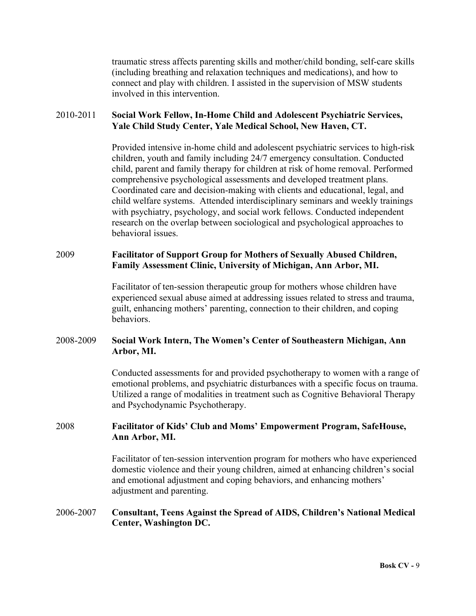traumatic stress affects parenting skills and mother/child bonding, self-care skills (including breathing and relaxation techniques and medications), and how to connect and play with children. I assisted in the supervision of MSW students involved in this intervention.

#### 2010-2011 **Social Work Fellow, In-Home Child and Adolescent Psychiatric Services, Yale Child Study Center, Yale Medical School, New Haven, CT.**

Provided intensive in-home child and adolescent psychiatric services to high-risk children, youth and family including 24/7 emergency consultation. Conducted child, parent and family therapy for children at risk of home removal. Performed comprehensive psychological assessments and developed treatment plans. Coordinated care and decision-making with clients and educational, legal, and child welfare systems. Attended interdisciplinary seminars and weekly trainings with psychiatry, psychology, and social work fellows. Conducted independent research on the overlap between sociological and psychological approaches to behavioral issues.

#### 2009 **Facilitator of Support Group for Mothers of Sexually Abused Children, Family Assessment Clinic, University of Michigan, Ann Arbor, MI.**

Facilitator of ten-session therapeutic group for mothers whose children have experienced sexual abuse aimed at addressing issues related to stress and trauma, guilt, enhancing mothers' parenting, connection to their children, and coping behaviors.

#### 2008-2009 **Social Work Intern, The Women's Center of Southeastern Michigan, Ann Arbor, MI.**

Conducted assessments for and provided psychotherapy to women with a range of emotional problems, and psychiatric disturbances with a specific focus on trauma. Utilized a range of modalities in treatment such as Cognitive Behavioral Therapy and Psychodynamic Psychotherapy.

#### 2008 **Facilitator of Kids' Club and Moms' Empowerment Program, SafeHouse, Ann Arbor, MI.**

Facilitator of ten-session intervention program for mothers who have experienced domestic violence and their young children, aimed at enhancing children's social and emotional adjustment and coping behaviors, and enhancing mothers' adjustment and parenting.

#### 2006-2007 **Consultant, Teens Against the Spread of AIDS, Children's National Medical Center, Washington DC.**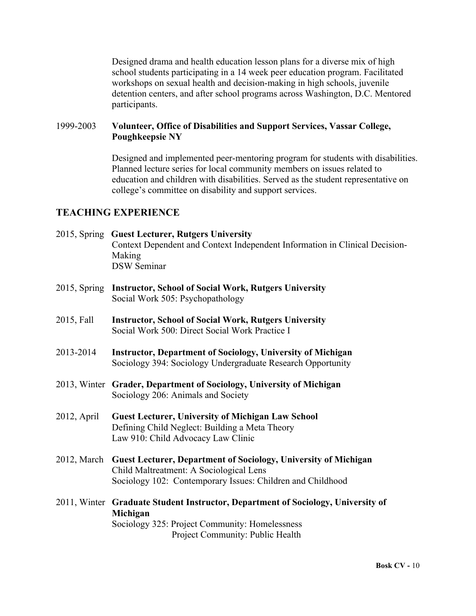Designed drama and health education lesson plans for a diverse mix of high school students participating in a 14 week peer education program. Facilitated workshops on sexual health and decision-making in high schools, juvenile detention centers, and after school programs across Washington, D.C. Mentored participants.

#### 1999-2003 **Volunteer, Office of Disabilities and Support Services, Vassar College, Poughkeepsie NY**

Designed and implemented peer-mentoring program for students with disabilities. Planned lecture series for local community members on issues related to education and children with disabilities. Served as the student representative on college's committee on disability and support services.

### **TEACHING EXPERIENCE**

- 2015, Spring **Guest Lecturer, Rutgers University** Context Dependent and Context Independent Information in Clinical Decision-Making DSW Seminar
- 2015, Spring **Instructor, School of Social Work, Rutgers University** Social Work 505: Psychopathology
- 2015, Fall **Instructor, School of Social Work, Rutgers University** Social Work 500: Direct Social Work Practice I
- 2013-2014 **Instructor, Department of Sociology, University of Michigan** Sociology 394: Sociology Undergraduate Research Opportunity
- 2013, Winter **Grader, Department of Sociology, University of Michigan** Sociology 206: Animals and Society
- 2012, April **Guest Lecturer, University of Michigan Law School** Defining Child Neglect: Building a Meta Theory Law 910: Child Advocacy Law Clinic
- 2012, March **Guest Lecturer, Department of Sociology, University of Michigan** Child Maltreatment: A Sociological Lens Sociology 102: Contemporary Issues: Children and Childhood
- 2011, Winter **Graduate Student Instructor, Department of Sociology, University of Michigan** Sociology 325: Project Community: Homelessness Project Community: Public Health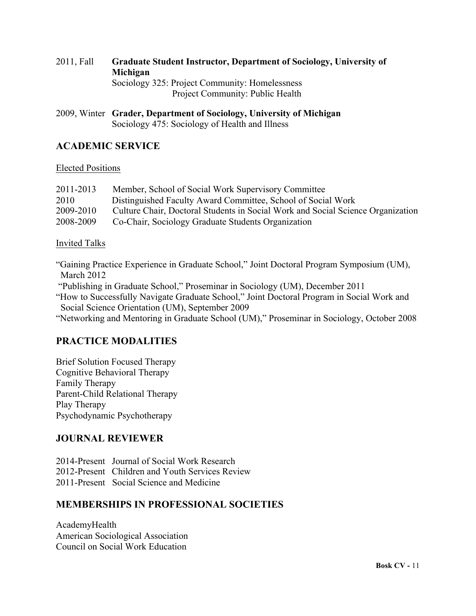## 2011, Fall **Graduate Student Instructor, Department of Sociology, University of Michigan** Sociology 325: Project Community: Homelessness Project Community: Public Health

2009, Winter **Grader, Department of Sociology, University of Michigan** Sociology 475: Sociology of Health and Illness

## **ACADEMIC SERVICE**

#### Elected Positions

| 2011-2013 | Member, School of Social Work Supervisory Committee                             |
|-----------|---------------------------------------------------------------------------------|
| 2010      | Distinguished Faculty Award Committee, School of Social Work                    |
| 2009-2010 | Culture Chair, Doctoral Students in Social Work and Social Science Organization |
| 2008-2009 | Co-Chair, Sociology Graduate Students Organization                              |

#### Invited Talks

"Gaining Practice Experience in Graduate School," Joint Doctoral Program Symposium (UM), March 2012

"Publishing in Graduate School," Proseminar in Sociology (UM), December 2011

"How to Successfully Navigate Graduate School," Joint Doctoral Program in Social Work and Social Science Orientation (UM), September 2009

"Networking and Mentoring in Graduate School (UM)," Proseminar in Sociology, October 2008

## **PRACTICE MODALITIES**

Brief Solution Focused Therapy Cognitive Behavioral Therapy Family Therapy Parent-Child Relational Therapy Play Therapy Psychodynamic Psychotherapy

## **JOURNAL REVIEWER**

2014-Present Journal of Social Work Research 2012-Present Children and Youth Services Review 2011-Present Social Science and Medicine

## **MEMBERSHIPS IN PROFESSIONAL SOCIETIES**

AcademyHealth American Sociological Association Council on Social Work Education